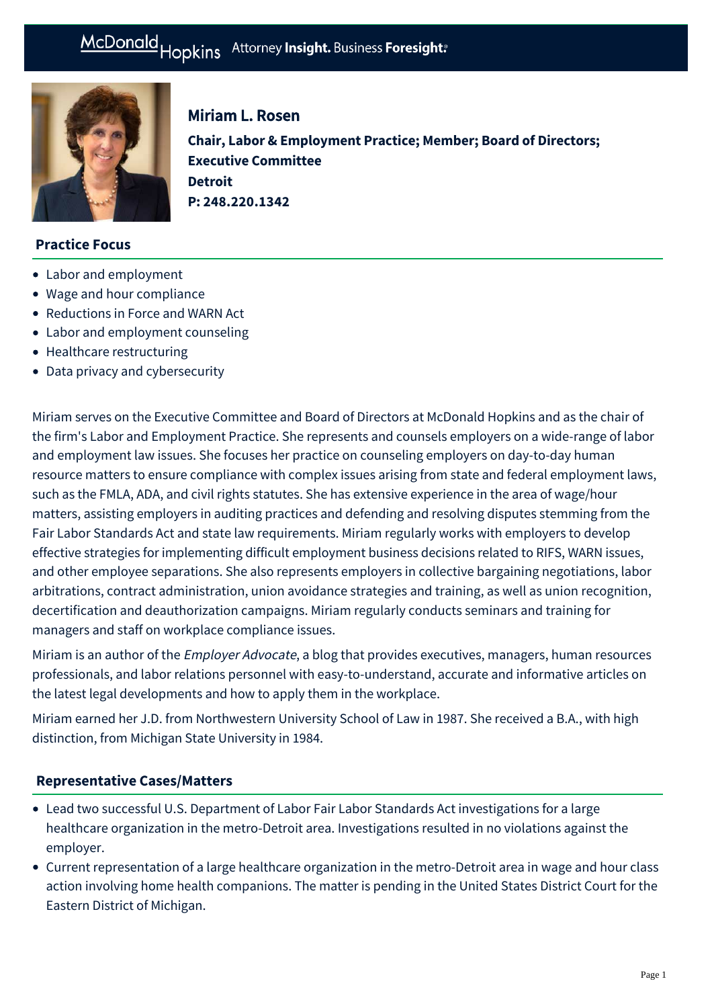

# Miriam L. Rosen

**Chair, Labor & Employment Practice; Member; Board of Directors; Executive Committee Detroit P: [248.220.1342](tel:248.220.1342)**

# **Practice Focus**

- [Labor and employment](https://www.mcdonaldhopkins.com/Expertise/Labor-and-employment)
- [Wage and hour compliance](https://www.mcdonaldhopkins.com/Expertise/Labor-and-employment/Labor-and-employment-counseling/Wage-and-hour-compliance)
- [Reductions in Force and WARN Act](https://www.mcdonaldhopkins.com/Expertise/Labor-and-employment/Labor-and-employment-counseling/Reductions-in-Force-and-WARN-Act)
- [Labor and employment counseling](https://www.mcdonaldhopkins.com/Expertise/Labor-and-employment/Labor-and-employment-counseling)
- [Healthcare restructuring](https://www.mcdonaldhopkins.com/Expertise/Healthcare/Healthcare-restructuring)
- [Data privacy and cybersecurity](https://www.mcdonaldhopkins.com/Expertise/Data-privacy-and-cybersecurity)

Miriam serves on the Executive Committee and Board of Directors at McDonald Hopkins and as the chair of the firm's Labor and Employment Practice. She represents and counsels employers on a wide-range of labor and employment law issues. She focuses her practice on counseling employers on day-to-day human resource matters to ensure compliance with complex issues arising from state and federal employment laws, such as the FMLA, ADA, and civil rights statutes. She has extensive experience in the area of wage/hour matters, assisting employers in auditing practices and defending and resolving disputes stemming from the Fair Labor Standards Act and state law requirements. Miriam regularly works with employers to develop effective strategies for implementing difficult employment business decisions related to RIFS, WARN issues, and other employee separations. She also represents employers in collective bargaining negotiations, labor arbitrations, contract administration, union avoidance strategies and training, as well as union recognition, decertification and deauthorization campaigns. Miriam regularly conducts seminars and training for managers and staff on workplace compliance issues.

Miriam is an author of the [Employer Advocate](https://businessadvocate.mcdonaldhopkins.com/community/protecting-your-business/employer-advocate), a blog that provides executives, managers, human resources professionals, and labor relations personnel with easy-to-understand, accurate and informative articles on the latest legal developments and how to apply them in the workplace.

Miriam earned her J.D. from Northwestern University School of Law in 1987. She received a B.A., with high distinction, from Michigan State University in 1984.

# **[Representative Cases/Matters](#page-0-0)**

- <span id="page-0-0"></span>Lead two successful U.S. Department of Labor Fair Labor Standards Act investigations for a large healthcare organization in the metro-Detroit area. Investigations resulted in no violations against the employer.
- Current representation of a large healthcare organization in the metro-Detroit area in wage and hour class action involving home health companions. The matter is pending in the United States District Court for the Eastern District of Michigan.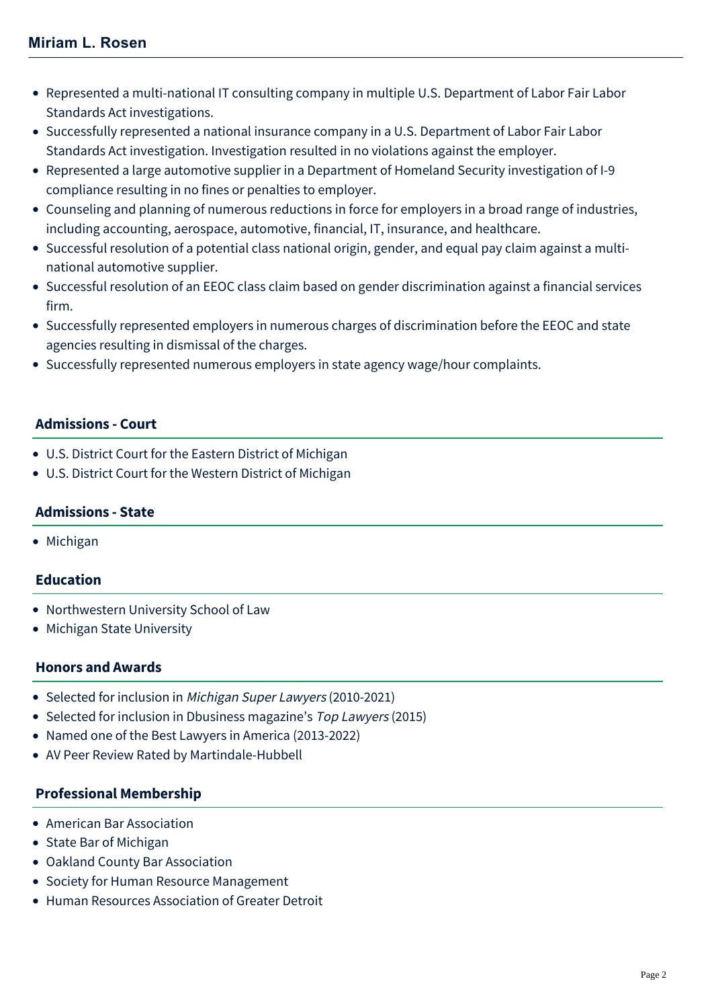- Represented a multi-national IT consulting company in multiple U.S. Department of Labor Fair Labor Standards Act investigations.
- Successfully represented a national insurance company in a U.S. Department of Labor Fair Labor Standards Act investigation. Investigation resulted in no violations against the employer.
- Represented a large automotive supplier in a Department of Homeland Security investigation of I-9 compliance resulting in no fines or penalties to employer.
- Counseling and planning of numerous reductions in force for employers in a broad range of industries, including accounting, aerospace, automotive, financial, IT, insurance, and healthcare.
- Successful resolution of a potential class national origin, gender, and equal pay claim against a multinational automotive supplier.
- Successful resolution of an EEOC class claim based on gender discrimination against a financial services firm.
- Successfully represented employers in numerous charges of discrimination before the EEOC and state agencies resulting in dismissal of the charges.
- Successfully represented numerous employers in state agency wage/hour complaints.

# **Admissions - Court**

- U.S. District Court for the Eastern District of Michigan
- U.S. District Court for the Western District of Michigan

# **Admissions - State**

• Michigan

# **Education**

- Northwestern University School of Law
- Michigan State University

# **Honors and Awards**

- Selected for inclusion in [Michigan Super Lawyers](http://www.superlawyers.com/michigan/lawyer/Miriam-L-Rosen/29d1afdd-dbfb-4f88-82be-151f94978b38.html) (2010-2021)
- Selected for inclusion in Dbusiness magazine's Top Lawyers (2015)
- Named one of the Best Lawyers in America (2013-2022)
- AV Peer Review Rated by Martindale-Hubbell

# **Professional Membership**

- American Bar Association
- State Bar of Michigan
- Oakland County Bar Association
- Society for Human Resource Management
- Human Resources Association of Greater Detroit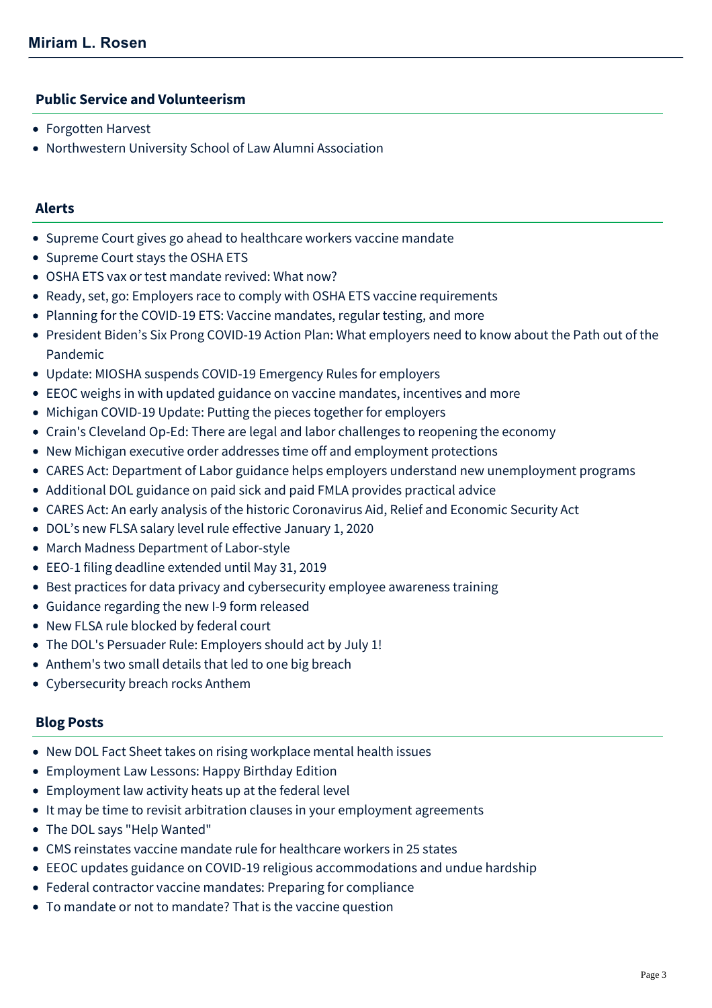#### **Public Service and Volunteerism**

- Forgotten Harvest
- Northwestern University School of Law Alumni Association

#### **Alerts**

- [Supreme Court gives go ahead to healthcare workers vaccine mandate](https://www.mcdonaldhopkins.com/Insights/January-2022/Supreme-Court-healthcare-workers-vaccine-mandate)
- [Supreme Court stays the OSHA ETS](https://www.mcdonaldhopkins.com/Insights/January-2022/Supreme-Court-stays-OSHA-ETS)
- [OSHA ETS vax or test mandate revived: What now?](https://www.mcdonaldhopkins.com/Insights/December-2021/OSHA-ETS-mandate-revived)
- [Ready, set, go: Employers race to comply with OSHA ETS vaccine requirements](https://www.mcdonaldhopkins.com/Insights/November-2021/Employers-race-to-comply-with-OSHA-ETS-vaccine-req)
- [Planning for the COVID-19 ETS: Vaccine mandates, regular testing, and more](https://www.mcdonaldhopkins.com/Insights/September-2021/Planning-for-the-COVID-19-ETS)
- [President Biden's Six Prong COVID-19 Action Plan: What employers need to know about the Path out of the](https://www.mcdonaldhopkins.com/Insights/September-2021/What-employers-need-to-know-about-the-path-out-of) Pandemic
- [Update: MIOSHA suspends COVID-19 Emergency Rules for employers](https://www.mcdonaldhopkins.com/Insights/June-2021/MIOSHA-suspends-COVID19-Emergency-Rules-for-Employ)
- [EEOC weighs in with updated guidance on vaccine mandates, incentives and more](https://www.mcdonaldhopkins.com/Insights/June-2021/EEOC-weighs-in-with-updated-guidance-on-vaccine-ma)
- [Michigan COVID-19 Update: Putting the pieces together for employers](https://www.mcdonaldhopkins.com/Insights/November-2020/Michigan-COVID-19-Update-Putting-the-pieces-togeth)
- [Crain's Cleveland Op-Ed: There are legal and labor challenges to reopening the economy](https://www.mcdonaldhopkins.com/Insights/May-2020/Crain-s-Cleveland-Op-Ed-There-are-legal-and-labor)
- [New Michigan executive order addresses time off and employment protections](https://www.mcdonaldhopkins.com/Insights/April-2020/New-Michigan-executive-order-addresses-time-off-an)
- [CARES Act: Department of Labor guidance helps employers understand new unemployment programs](https://www.mcdonaldhopkins.com/Insights/April-2020/CARES-Act-Department-of-Labor-guidance-helps-emplo)
- [Additional DOL guidance on paid sick and paid FMLA provides practical advice](https://www.mcdonaldhopkins.com/Insights/March-2020/Additional-DOL-guidance-on-paid-sick-and-paid-FMLA)
- [CARES Act: An early analysis of the historic Coronavirus Aid, Relief and Economic Security Act](https://www.mcdonaldhopkins.com/Insights/March-2020/CARES-ACT-overview)
- [DOL's new FLSA salary level rule effective January 1, 2020](https://www.mcdonaldhopkins.com/Insights/September-2019/DOLs-new-FLSA-salary-level-rule-effective-January)
- [March Madness Department of Labor-style](https://www.mcdonaldhopkins.com/Insights/April-2019/March-Madness-Department-of-Labor-style)
- [EEO-1 filing deadline extended until May 31, 2019](https://www.mcdonaldhopkins.com/Insights/February-2019/EEO-1-filing-deadline-extended-until-May-31-2019)
- [Best practices for data privacy and cybersecurity employee awareness training](https://www.mcdonaldhopkins.com/Insights/March-2018/Best-practices-for-data-privacy-and-cybersecurity)
- [Guidance regarding the new I-9 form released](https://www.mcdonaldhopkins.com/Insights/March-2017/Guidance-regarding-the-new-I-9-form-released)
- [New FLSA rule blocked by federal court](https://www.mcdonaldhopkins.com/Insights/November-2016/New-FLSA-rule-blocked-by-federal-court)
- [The DOL's Persuader Rule: Employers should act by July 1!](https://www.mcdonaldhopkins.com/Insights/June-2016/The-DOLs-Persuader-Rule-Employers-should-act-by-J)
- [Anthem's two small details that led to one big breach](https://www.mcdonaldhopkins.com/Insights/Febrary-2015/Data-Privacy-and-Cybersecurity-Alert-Anthems-two-s)
- [Cybersecurity breach rocks Anthem](https://www.mcdonaldhopkins.com/Insights/Febrary-2015/Data-Privacy-and-Cybersecurity-Alert-Cybersecurity)

#### **Blog Posts**

- [New DOL Fact Sheet takes on rising workplace mental health issues](https://www.mcdonaldhopkins.com/Insights/June-2022/DOL-fact-sheet-mental-health-issues)
- [Employment Law Lessons: Happy Birthday Edition](https://www.mcdonaldhopkins.com/Insights/May-2022/Employment-Law-Happy-Birthday-Edition)
- [Employment law activity heats up at the federal level](https://www.mcdonaldhopkins.com/Insights/April-2022/federal-employment-law-activity-heats-up)
- [It may be time to revisit arbitration clauses in your employment agreements](https://www.mcdonaldhopkins.com/Insights/February-2022/MeToo-Bill-arbitration-clauses)
- [The DOL says "Help Wanted"](https://www.mcdonaldhopkins.com/Insights/February-2022/The-DOL-says-Help-Wanted)
- [CMS reinstates vaccine mandate rule for healthcare workers in 25 states](https://www.mcdonaldhopkins.com/Insights/January-2022/CMS-reinstates-vaccine-mandate-in-25-states)
- [EEOC updates guidance on COVID-19 religious accommodations and undue hardship](https://www.mcdonaldhopkins.com/Insights/October-2021/EEOC-updates-guidance-on-COVID19-religious-accommo)
- [Federal contractor vaccine mandates: Preparing for compliance](https://www.mcdonaldhopkins.com/Insights/October-2021/Federal-contractor-vaccine-mandates-Preparing-for)
- [To mandate or not to mandate? That is the vaccine question](https://www.mcdonaldhopkins.com/Insights/July-2021/To-mandate-or-not-to-mandate-That-is-the-vaccine-q)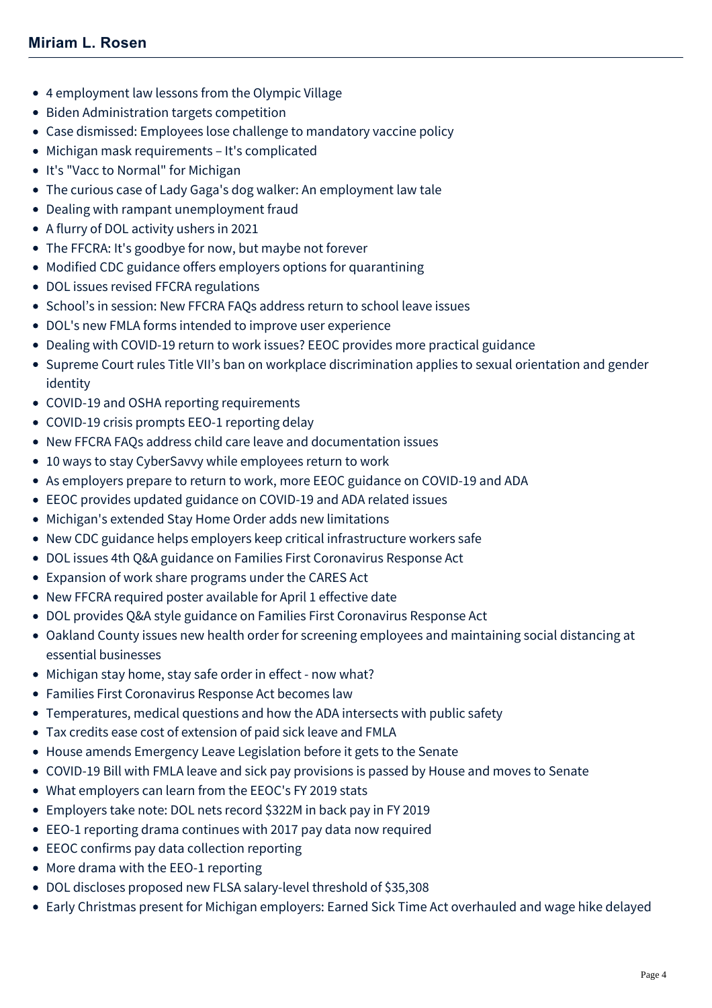- [4 employment law lessons from the Olympic Village](https://www.mcdonaldhopkins.com/Insights/July-2021/4-employment-law-lessons-from-the-Olympic-Village)
- [Biden Administration targets competition](https://www.mcdonaldhopkins.com/Insights/July-2021/Biden-Administration-targets-competition)
- [Case dismissed: Employees lose challenge to mandatory vaccine policy](https://www.mcdonaldhopkins.com/Insights/June-2021/Case-dismissed-Employees-lose-challenge-to-mandato)
- [Michigan mask requirements It's complicated](https://www.mcdonaldhopkins.com/Insights/May-2021/Michigan-Mask-Requirements)
- [It's "Vacc to Normal" for Michigan](https://www.mcdonaldhopkins.com/Insights/April-2021/Its-Vacc-to-Normal-for-Michigan)
- [The curious case of Lady Gaga's dog walker: An employment law tale](https://www.mcdonaldhopkins.com/Insights/March-2021/The-curious-case-of-Lady-Gagas-dog-walker-An-emplo)
- [Dealing with rampant unemployment fraud](https://www.mcdonaldhopkins.com/Insights/February-2021/Dealing-with-rampant-unemployment-fraud)
- [A flurry of DOL activity ushers in 2021](https://www.mcdonaldhopkins.com/Insights/January-2021/A-flurry-of-DOL-activity-ushers-in-2021)
- [The FFCRA: It's goodbye for now, but maybe not forever](https://www.mcdonaldhopkins.com/Insights/December-2020/The-FFCRA-Its-good-bye-for-now-but-maybe-not-forev)
- [Modified CDC guidance offers employers options for quarantining](https://www.mcdonaldhopkins.com/Insights/December-2020/Modified-CDC-Guidance-Offers-Employers-Options-for)
- [DOL issues revised FFCRA regulations](https://www.mcdonaldhopkins.com/Insights/September-2020/DOL-issues-revised-FFCRA-regulations)
- [School's in session: New FFCRA FAQs address return to school leave issues](https://www.mcdonaldhopkins.com/Insights/August-2020/Schools-in-session-New-FFCRA-FAQs-address-return-t)
- [DOL's new FMLA forms intended to improve user experience](https://www.mcdonaldhopkins.com/Insights/July-2020/DOLs-new-FMLA-forms-intended-to-improve-user-exper)
- [Dealing with COVID-19 return to work issues? EEOC provides more practical guidance](https://www.mcdonaldhopkins.com/Insights/June-2020-(1)/EEOC-practical-COVID-return-to-work-guidance)
- [Supreme Court rules Title VII's ban on workplace discrimination applies to sexual orientation and gender](https://www.mcdonaldhopkins.com/Insights/June-2020-(1)/Supreme-Court-rules-Title-VIIs-ban-on-workplace-d) identity
- [COVID-19 and OSHA reporting requirements](https://www.mcdonaldhopkins.com/Insights/June-2020-(1)/COVID-19-and-OSHA-reporting-requirements)
- [COVID-19 crisis prompts EEO-1 reporting delay](https://www.mcdonaldhopkins.com/Insights/May-2020/COVID-19-crisis-prompts-EEO-1-reporting-delay)
- [New FFCRA FAQs address child care leave and documentation issues](https://www.mcdonaldhopkins.com/Insights/May-2020/New-FFCRA-FAQs-address-child-care-leave-and-docume)
- [10 ways to stay CyberSavvy while employees return to work](https://www.mcdonaldhopkins.com/Insights/May-2020/10-ways-to-stay-CyberSavvy-while-employees-return)
- [As employers prepare to return to work, more EEOC guidance on COVID-19 and ADA](https://www.mcdonaldhopkins.com/Insights/April-2020/More-EEOC-guidance-on-COVID-19-and-ADA)
- [EEOC provides updated guidance on COVID-19 and ADA related issues](https://www.mcdonaldhopkins.com/Insights/April-2020/EEOC-provides-updated-guidance-on-COVID-19-and-ADA)
- [Michigan's extended Stay Home Order adds new limitations](https://www.mcdonaldhopkins.com/Insights/April-2020/Michigans-extended-Stay-Home-Order-adds-new-limita)
- [New CDC guidance helps employers keep critical infrastructure workers safe](https://www.mcdonaldhopkins.com/Insights/April-2020/New-CDC-guidance-helps-employers-keep-critical-inf)
- [DOL issues 4th Q&A guidance on Families First Coronavirus Response Act](https://www.mcdonaldhopkins.com/Insights/April-2020/DOL-issues-4th-QA-guidance-on-FFCRA)
- [Expansion of work share programs under the CARES Act](https://www.mcdonaldhopkins.com/Insights/March-2020/Expansion-of-work-share-programs-under-the-CARES-A)
- [New FFCRA required poster available for April 1 effective date](https://www.mcdonaldhopkins.com/Insights/March-2020/New-FFCRA-required-poster-available-for-April-1-ef)
- [DOL provides Q&A style guidance on Families First Coronavirus Response Act](https://www.mcdonaldhopkins.com/Insights/March-2020/DOL-Provides-Guidance-on-Families-First-Coronaviru)
- [Oakland County issues new health order for screening employees and maintaining social distancing at](https://www.mcdonaldhopkins.com/Insights/March-2020/Oakland-County-issues-new-health-order-for-screeni) essential businesses
- [Michigan stay home, stay safe order in effect now what?](https://www.mcdonaldhopkins.com/Insights/March-2020/Michigan-stay-home-stay-safe-order-in-effect-now-w)
- [Families First Coronavirus Response Act becomes law](https://www.mcdonaldhopkins.com/Insights/March-2020/Families-First-Coronavirus-Response-Act-becomes-la)
- [Temperatures, medical questions and how the ADA intersects with public safety](https://www.mcdonaldhopkins.com/Insights/March-2020/Temperatures-medical-questions-and-how-the-ADA-int)
- [Tax credits ease cost of extension of paid sick leave and FMLA](https://www.mcdonaldhopkins.com/Insights/March-2020/Tax-credits-ease-cost-of-extension-of-paid-sick-le)
- [House amends Emergency Leave Legislation before it gets to the Senate](https://www.mcdonaldhopkins.com/Insights/March-2020/House-amends-Emergency-Leave-Legislation-on-March)
- [COVID-19 Bill with FMLA leave and sick pay provisions is passed by House and moves to Senate](https://www.mcdonaldhopkins.com/Insights/March-2020/COVID19-Bill-with-FMLA-leave-and-sick-pay-provisio)
- [What employers can learn from the EEOC's FY 2019 stats](https://www.mcdonaldhopkins.com/Insights/February-2020/What-employers-can-learn-from-the-EEOC-s-FY-2019-s)
- [Employers take note: DOL nets record \\$322M in back pay in FY 2019](https://www.mcdonaldhopkins.com/Insights/October-2019/Employers-take-note-DOL-nets-record-322M-in-back-p)
- [EEO-1 reporting drama continues with 2017 pay data now required](https://www.mcdonaldhopkins.com/Insights/May-2019/EEO1-reporting-drama-continues-with-2017-pay-data)
- [EEOC confirms pay data collection reporting](https://www.mcdonaldhopkins.com/Insights/May-2019/EEOC-confirms-pay-data-collection-reporting)
- [More drama with the EEO-1 reporting](https://www.mcdonaldhopkins.com/Insights/April-2019/More-drama-with-the-EEO-1-reporting)
- [DOL discloses proposed new FLSA salary-level threshold of \\$35,308](https://www.mcdonaldhopkins.com/Insights/March-2019/DOL-discloses-proposed-new-FLSA-salary-level-thres)
- [Early Christmas present for Michigan employers: Earned Sick Time Act overhauled and wage hike delayed](https://www.mcdonaldhopkins.com/Insights/December-2018/Earned-Sick-Time-Act-Overhauled-and-Wage-Hike-Dela)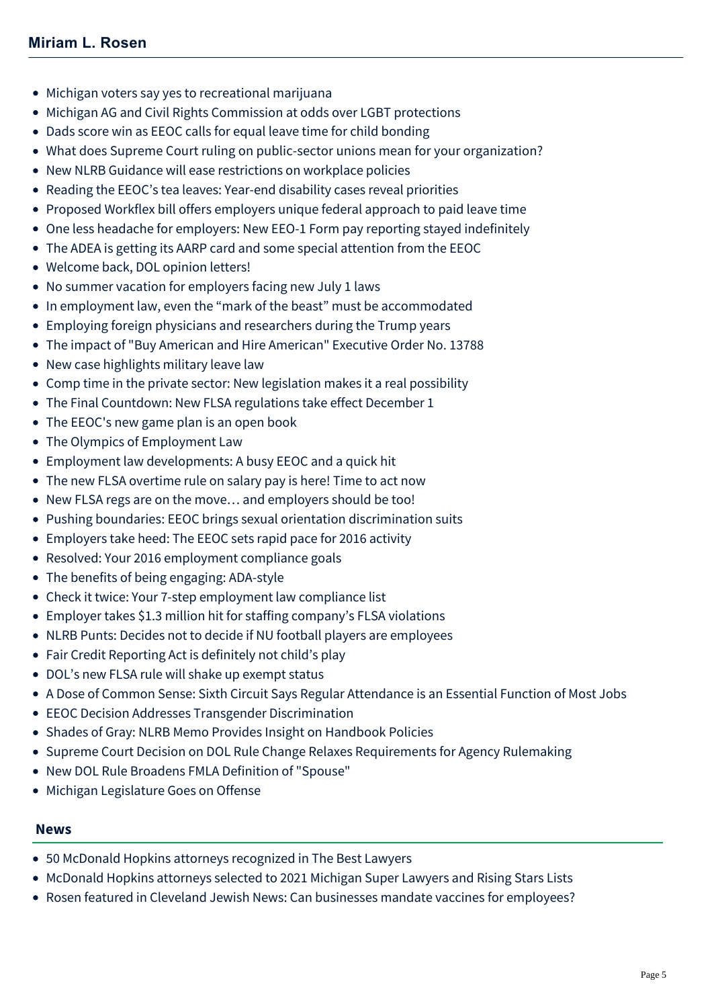- [Michigan voters say yes to recreational marijuana](https://www.mcdonaldhopkins.com/Insights/November-2018/Michigan-voters-say-yes-to-recreational-marijuana)
- [Michigan AG and Civil Rights Commission at odds over LGBT protections](https://www.mcdonaldhopkins.com/Insights/July-2018/Michigan-AG-and-Civil-Rights-Commission-at-odds-ov)
- [Dads score win as EEOC calls for equal leave time for child bonding](https://www.mcdonaldhopkins.com/Insights/July-2018/Dads-score-win-as-EEOC-calls-for-equal-leave-time)
- [What does Supreme Court ruling on public-sector unions mean for your organization?](https://www.mcdonaldhopkins.com/Insights/June-2018/What-does-Supreme-Court-ruling-on-public-sector-un)
- [New NLRB Guidance will ease restrictions on workplace policies](https://www.mcdonaldhopkins.com/Insights/June-2018/New-NLRB-Guidance-will-ease-restrictions-on-workpl)
- [Reading the EEOC's tea leaves: Year-end disability cases reveal priorities](https://www.mcdonaldhopkins.com/Insights/November-2017/Reading-the-EEOCs-tea-leaves-Yearend-disability-ca)
- [Proposed Workflex bill offers employers unique federal approach to paid leave time](https://www.mcdonaldhopkins.com/Insights/November-2017/Proposed-Workflex-bill-offers-employers-unique-fed)
- [One less headache for employers: New EEO-1 Form pay reporting stayed indefinitely](https://www.mcdonaldhopkins.com/Insights/August-2017/One-less-headache-for-employers-New-EEO-1-form-pay)
- [The ADEA is getting its AARP card and some special attention from the EEOC](https://www.mcdonaldhopkins.com/Insights/July-2017/The-ADEA-is-getting-its-AARP-card-and-some-special)
- [Welcome back, DOL opinion letters!](https://www.mcdonaldhopkins.com/Insights/July-2017/Welcome-back-DOL-opinion-letters)
- [No summer vacation for employers facing new July 1 laws](https://www.mcdonaldhopkins.com/Insights/July-2017/No-summer-vacation-for-employers-facing-new-July-1)
- [In employment law, even the "mark of the beast" must be accommodated](https://www.mcdonaldhopkins.com/Insights/June-2017/In-employment-law-even-the-mark-of-the-beast-must)
- [Employing foreign physicians and researchers during the Trump years](https://www.mcdonaldhopkins.com/Insights/June-2017/Employing-foreign-physicians-researchers-during-th)
- [The impact of "Buy American and Hire American" Executive Order No. 13788](https://www.mcdonaldhopkins.com/Insights/June-2017/The-impact-of-Buy-American-and-Hire-America-Execut)
- [New case highlights military leave law](https://www.mcdonaldhopkins.com/Insights/May-2017/New-case-highlights-military-leave-law)
- [Comp time in the private sector: New legislation makes it a real possibility](https://www.mcdonaldhopkins.com/Insights/May-2017/Comp-time-in-the-private-sector-New-legislation-m)
- [The Final Countdown: New FLSA regulations take effect December 1](https://www.mcdonaldhopkins.com/Insights/November-2016/The-Final-Countdown-New-FLSA-regulations-take-effe)
- [The EEOC's new game plan is an open book](https://www.mcdonaldhopkins.com/Insights/October-2016/The-EEOCs-new-game-plan-is-an-open-book)
- [The Olympics of Employment Law](https://www.mcdonaldhopkins.com/Insights/August-2016/The-Olympics-of-Employment-Law)
- [Employment law developments: A busy EEOC and a quick hit](https://www.mcdonaldhopkins.com/Insights/June-2016/Employment-law-developments-A-busy-EEOC-and-a-quic)
- [The new FLSA overtime rule on salary pay is here! Time to act now](https://www.mcdonaldhopkins.com/Insights/May-2016/The-new-FLSA-overtime-rule-on-salary-pay-is-here!)
- [New FLSA regs are on the move… and employers should be too!](https://www.mcdonaldhopkins.com/Insights/March-2016/New-FLSA-regs-are-on-the-move%E2%80%A6-and-employers-shoul)
- [Pushing boundaries: EEOC brings sexual orientation discrimination suits](https://www.mcdonaldhopkins.com/Insights/March-2016/Pushing-boundaries-EEOC-brings-sexual-orientation)
- [Employers take heed: The EEOC sets rapid pace for 2016 activity](https://www.mcdonaldhopkins.com/Insights/February-2016/Employers-take-heed-The-EEOC-sets-rapid-pace-for)
- [Resolved: Your 2016 employment compliance goals](https://www.mcdonaldhopkins.com/Insights/January-2016/Resolved-Your-2016-employment-compliance-goals)
- [The benefits of being engaging: ADA-style](https://www.mcdonaldhopkins.com/Insights/December-2015/The-benefits-of-being-engaging-ADA-style)
- [Check it twice: Your 7-step employment law compliance list](https://www.mcdonaldhopkins.com/Insights/November-2015/Check-it-twice-Your-7-step-employment-law-complia)
- [Employer takes \\$1.3 million hit for staffing company's FLSA violations](https://www.mcdonaldhopkins.com/Insights/October-2015/Employer-takes-$1-3-million-hit-for-staffing-compa)
- [NLRB Punts: Decides not to decide if NU football players are employees](https://www.mcdonaldhopkins.com/Insights/August-2015/NLRB-Punts)
- [Fair Credit Reporting Act is definitely not child's play](https://www.mcdonaldhopkins.com/Insights/July-2015/Fair-Credit-Reporting-Act-is-definitely-not-child%E2%80%99)
- [DOL's new FLSA rule will shake up exempt status](https://www.mcdonaldhopkins.com/Insights/July-2015/DOL%E2%80%99s-new-FLSA-rule-will-shake-up-exempt-status)
- [A Dose of Common Sense: Sixth Circuit Says Regular Attendance is an Essential Function of Most Jobs](https://www.mcdonaldhopkins.com/Insights/April-2015/A-Dose-of-Common-Sense-Sixth-Circuit-Says-Regular)
- [EEOC Decision Addresses Transgender Discrimination](https://www.mcdonaldhopkins.com/Insights/April-2015/EEOC-Decision-Addresses-Transgender-Discrimination)
- [Shades of Gray: NLRB Memo Provides Insight on Handbook Policies](https://www.mcdonaldhopkins.com/Insights/March-2015/Shades-of-Gray-NLRB-Memo-Provides-Insight-on-Hand)
- [Supreme Court Decision on DOL Rule Change Relaxes Requirements for Agency Rulemaking](https://www.mcdonaldhopkins.com/Insights/March-2015/Supreme-Court-Decision-on-DOL-Rule-Change-Relaxes)
- [New DOL Rule Broadens FMLA Definition of "Spouse"](https://www.mcdonaldhopkins.com/Insights/Febrary-2015/New-DOL-Rule-Broadens-FMLA-Definition-of-Spouse)
- [Michigan Legislature Goes on Offense](https://www.mcdonaldhopkins.com/Insights/January-2015/Michigan-Legislature-Goes-on-Offense)

#### **News**

- [50 McDonald Hopkins attorneys recognized in The Best Lawyers](https://www.mcdonaldhopkins.com/Insights/August-2021/50-McDonald-Hopkins-attorneys-recognized-in-The-Be)
- [McDonald Hopkins attorneys selected to 2021 Michigan Super Lawyers and Rising Stars Lists](https://www.mcdonaldhopkins.com/Insights/August-2021/McDonald-Hopkins-attorneys-selected-to-2021-Michig)
- [Rosen featured in Cleveland Jewish News: Can businesses mandate vaccines for employees?](https://www.mcdonaldhopkins.com/Insights/August-2021/Rosen-featured-in-Cleveland-Jewish-News-Can-busine)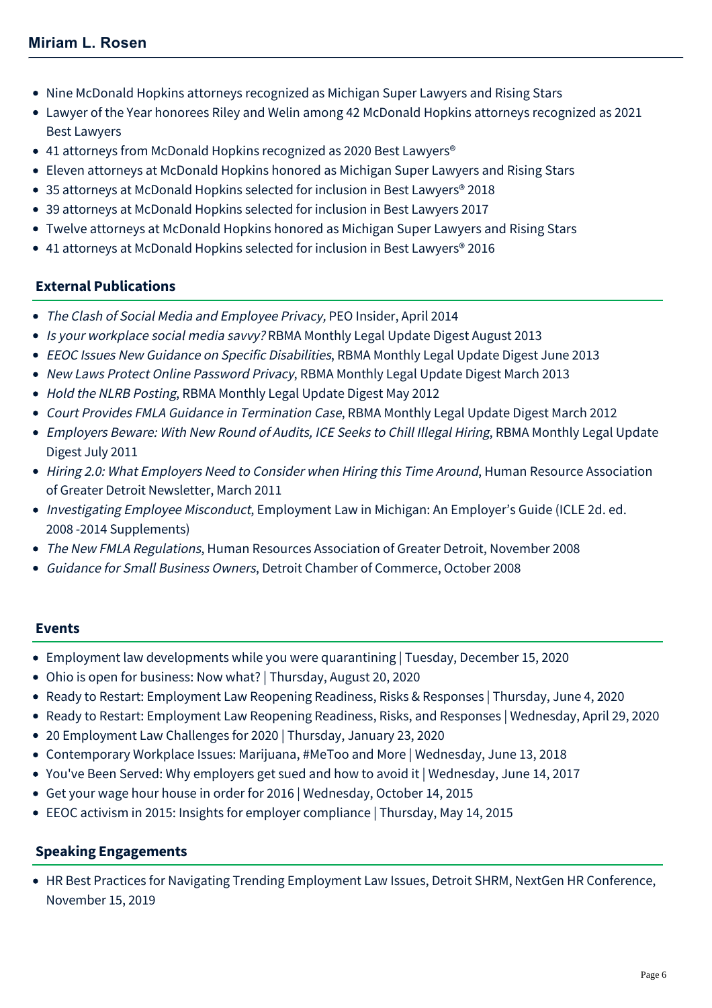- [Nine McDonald Hopkins attorneys recognized as Michigan Super Lawyers and Rising Stars](https://www.mcdonaldhopkins.com/Insights/September-2020/Nine-McDonald-Hopkins-attorneys-recognized-as-Mich)
- [Lawyer of the Year honorees Riley and Welin among 42 McDonald Hopkins attorneys recognized as 2021](https://www.mcdonaldhopkins.com/Insights/August-2020/Lawyer-of-the-Year-honorees-Riley-and-Welin-among) Best Lawyers
- 41 attorneys from McDonald Hopkins recognized as 2020 Best Lawyers<sup>®</sup>
- [Eleven attorneys at McDonald Hopkins honored as Michigan Super Lawyers and Rising Stars](https://www.mcdonaldhopkins.com/Insights/September-2017/Eleven-attorneys-at-McDonald-Hopkins-honored-a-(1))
- [35 attorneys at McDonald Hopkins selected for inclusion in Best Lawyers® 2018](https://www.mcdonaldhopkins.com/Insights/August-2017/35-attorneys-at-McDonald-Hopkins-selected-for-incl)
- [39 attorneys at McDonald Hopkins selected for inclusion in Best Lawyers 2017](https://www.mcdonaldhopkins.com/Insights/August-2016/39-attorneys-at-McDonald-Hopkins-selected-for-incl)
- [Twelve attorneys at McDonald Hopkins honored as Michigan Super Lawyers and Rising Stars](https://www.mcdonaldhopkins.com/Insights/September-2015/Twelve-attorneys-at-McDonald-Hopkins-honored-as-Mi)
- [41 attorneys at McDonald Hopkins selected for inclusion in Best Lawyers® 2016](https://www.mcdonaldhopkins.com/Insights/August-2015/33-attorneys-at-McDonald-Hopkins-selected-for-incl)

# **External Publications**

- The Clash of Social Media and Employee Privacy, PEO Insider, April 2014
- Is your workplace social media savvy? RBMA Monthly Legal Update Digest August 2013
- EEOC Issues New Guidance on Specific Disabilities, RBMA Monthly Legal Update Digest June 2013
- New Laws Protect Online Password Privacy, RBMA Monthly Legal Update Digest March 2013
- Hold the NLRB Posting, RBMA Monthly Legal Update Digest May 2012
- Court Provides FMLA Guidance in Termination Case, RBMA Monthly Legal Update Digest March 2012
- Employers Beware: With New Round of Audits, ICE Seeks to Chill Illegal Hiring, RBMA Monthly Legal Update Digest July 2011
- Hiring 2.0: What Employers Need to Consider when Hiring this Time Around, Human Resource Association of Greater Detroit Newsletter, March 2011
- Investigating Employee Misconduct, Employment Law in Michigan: An Employer's Guide (ICLE 2d. ed. 2008 -2014 Supplements)
- The New FMLA Regulations, Human Resources Association of Greater Detroit, November 2008
- Guidance for Small Business Owners, Detroit Chamber of Commerce, October 2008

#### **Events**

- [Employment law developments while you were quarantining | Tuesday, December 15, 2020](https://www.mcdonaldhopkins.com/Events/2020/Employment-law-developments-while-quarantining)
- [Ohio is open for business: Now what? | Thursday, August 20, 2020](https://www.mcdonaldhopkins.com/Events/2020/Ohio-is-open-for-business-now-what)
- [Ready to Restart: Employment Law Reopening Readiness, Risks & Responses | Thursday, June 4, 2020](https://www.mcdonaldhopkins.com/Events/2020/Ready-to-Restart-Employment-Law)
- [Ready to Restart: Employment Law Reopening Readiness, Risks, and Responses | Wednesday, April 29, 2020](https://www.mcdonaldhopkins.com/Events/2020/Ready-to-Restart-Employment-Law-Reopening-Readines)
- [20 Employment Law Challenges for 2020 | Thursday, January 23, 2020](https://www.mcdonaldhopkins.com/Events/2020/20-Employment-Law-Challenges-for-2020-(1))
- [Contemporary Workplace Issues: Marijuana, #MeToo and More | Wednesday, June 13, 2018](https://www.mcdonaldhopkins.com/Events/2018/Contemporary-Workplace-Issues)
- [You've Been Served: Why employers get sued and how to avoid it | Wednesday, June 14, 2017](https://www.mcdonaldhopkins.com/Events/2017/Why-employers-get-sued-and-how-to-avoid-it)
- [Get your wage hour house in order for 2016 | Wednesday, October 14, 2015](https://www.mcdonaldhopkins.com/Events/2015/Get-your-wagehour-house-in-order-for-2016-New-FLSA-rules-and-IC-guidance-require-employer-action)
- [EEOC activism in 2015: Insights for employer compliance | Thursday, May 14, 2015](https://www.mcdonaldhopkins.com/Events/2015/EEOC-activism-in-2015-Insights-for-employer-compliance)

# **Speaking Engagements**

HR Best Practices for Navigating Trending Employment Law Issues, Detroit SHRM, NextGen HR Conference, November 15, 2019